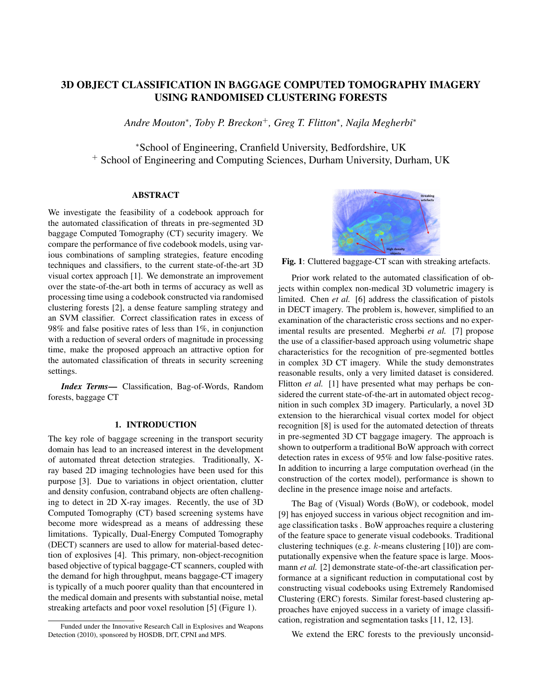# 3D OBJECT CLASSIFICATION IN BAGGAGE COMPUTED TOMOGRAPHY IMAGERY USING RANDOMISED CLUSTERING FORESTS

*Andre Mouton*<sup>∗</sup> *, Toby P. Breckon*<sup>+</sup>*, Greg T. Flitton*<sup>∗</sup> *, Najla Megherbi*<sup>∗</sup>

<sup>∗</sup>School of Engineering, Cranfield University, Bedfordshire, UK <sup>+</sup> School of Engineering and Computing Sciences, Durham University, Durham, UK

# ABSTRACT

We investigate the feasibility of a codebook approach for the automated classification of threats in pre-segmented 3D baggage Computed Tomography (CT) security imagery. We compare the performance of five codebook models, using various combinations of sampling strategies, feature encoding techniques and classifiers, to the current state-of-the-art 3D visual cortex approach [1]. We demonstrate an improvement over the state-of-the-art both in terms of accuracy as well as processing time using a codebook constructed via randomised clustering forests [2], a dense feature sampling strategy and an SVM classifier. Correct classification rates in excess of 98% and false positive rates of less than 1%, in conjunction with a reduction of several orders of magnitude in processing time, make the proposed approach an attractive option for the automated classification of threats in security screening settings.

*Index Terms*— Classification, Bag-of-Words, Random forests, baggage CT

## 1. INTRODUCTION

The key role of baggage screening in the transport security domain has lead to an increased interest in the development of automated threat detection strategies. Traditionally, Xray based 2D imaging technologies have been used for this purpose [3]. Due to variations in object orientation, clutter and density confusion, contraband objects are often challenging to detect in 2D X-ray images. Recently, the use of 3D Computed Tomography (CT) based screening systems have become more widespread as a means of addressing these limitations. Typically, Dual-Energy Computed Tomography (DECT) scanners are used to allow for material-based detection of explosives [4]. This primary, non-object-recognition based objective of typical baggage-CT scanners, coupled with the demand for high throughput, means baggage-CT imagery is typically of a much poorer quality than that encountered in the medical domain and presents with substantial noise, metal streaking artefacts and poor voxel resolution [5] (Figure 1).



Fig. 1: Cluttered baggage-CT scan with streaking artefacts.

Prior work related to the automated classification of objects within complex non-medical 3D volumetric imagery is limited. Chen *et al.* [6] address the classification of pistols in DECT imagery. The problem is, however, simplified to an examination of the characteristic cross sections and no experimental results are presented. Megherbi *et al.* [7] propose the use of a classifier-based approach using volumetric shape characteristics for the recognition of pre-segmented bottles in complex 3D CT imagery. While the study demonstrates reasonable results, only a very limited dataset is considered. Flitton *et al.* [1] have presented what may perhaps be considered the current state-of-the-art in automated object recognition in such complex 3D imagery. Particularly, a novel 3D extension to the hierarchical visual cortex model for object recognition [8] is used for the automated detection of threats in pre-segmented 3D CT baggage imagery. The approach is shown to outperform a traditional BoW approach with correct detection rates in excess of 95% and low false-positive rates. In addition to incurring a large computation overhead (in the construction of the cortex model), performance is shown to decline in the presence image noise and artefacts.

The Bag of (Visual) Words (BoW), or codebook, model [9] has enjoyed success in various object recognition and image classification tasks . BoW approaches require a clustering of the feature space to generate visual codebooks. Traditional clustering techniques (e.g. k-means clustering [10]) are computationally expensive when the feature space is large. Moosmann *et al.* [2] demonstrate state-of-the-art classification performance at a significant reduction in computational cost by constructing visual codebooks using Extremely Randomised Clustering (ERC) forests. Similar forest-based clustering approaches have enjoyed success in a variety of image classification, registration and segmentation tasks [11, 12, 13].

We extend the ERC forests to the previously unconsid-

Funded under the Innovative Research Call in Explosives and Weapons Detection (2010), sponsored by HOSDB, DfT, CPNI and MPS.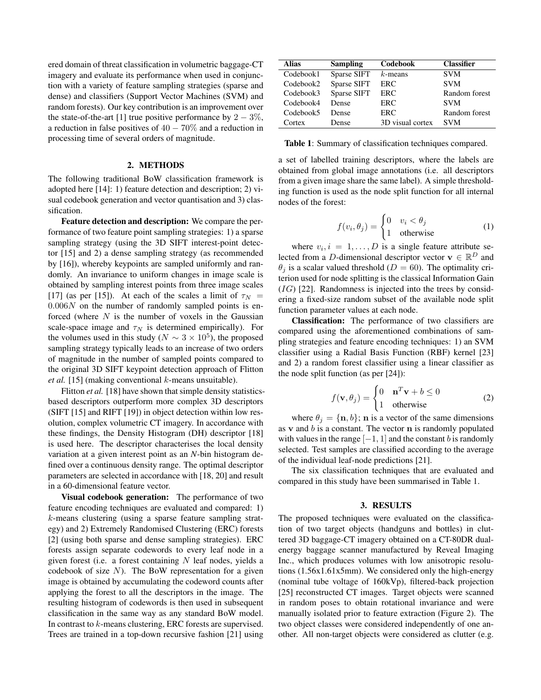ered domain of threat classification in volumetric baggage-CT imagery and evaluate its performance when used in conjunction with a variety of feature sampling strategies (sparse and dense) and classifiers (Support Vector Machines (SVM) and random forests). Our key contribution is an improvement over the state-of-the-art [1] true positive performance by  $2 - 3\%$ , a reduction in false positives of  $40 - 70\%$  and a reduction in processing time of several orders of magnitude.

## 2. METHODS

The following traditional BoW classification framework is adopted here [14]: 1) feature detection and description; 2) visual codebook generation and vector quantisation and 3) classification.

Feature detection and description: We compare the performance of two feature point sampling strategies: 1) a sparse sampling strategy (using the 3D SIFT interest-point detector [15] and 2) a dense sampling strategy (as recommended by [16]), whereby keypoints are sampled uniformly and randomly. An invariance to uniform changes in image scale is obtained by sampling interest points from three image scales [17] (as per [15]). At each of the scales a limit of  $\tau_N$  =  $0.006N$  on the number of randomly sampled points is enforced (where  $N$  is the number of voxels in the Gaussian scale-space image and  $\tau_N$  is determined empirically). For the volumes used in this study ( $N \sim 3 \times 10^5$ ), the proposed sampling strategy typically leads to an increase of two orders of magnitude in the number of sampled points compared to the original 3D SIFT keypoint detection approach of Flitton *et al.* [15] (making conventional k-means unsuitable).

Flitton *et al.* [18] have shown that simple density statisticsbased descriptors outperform more complex 3D descriptors (SIFT [15] and RIFT [19]) in object detection within low resolution, complex volumetric CT imagery. In accordance with these findings, the Density Histogram (DH) descriptor [18] is used here. The descriptor characterises the local density variation at a given interest point as an *N*-bin histogram defined over a continuous density range. The optimal descriptor parameters are selected in accordance with [18, 20] and result in a 60-dimensional feature vector.

Visual codebook generation: The performance of two feature encoding techniques are evaluated and compared: 1) k-means clustering (using a sparse feature sampling strategy) and 2) Extremely Randomised Clustering (ERC) forests [2] (using both sparse and dense sampling strategies). ERC forests assign separate codewords to every leaf node in a given forest (i.e. a forest containing  $N$  leaf nodes, yields a codebook of size  $N$ ). The BoW representation for a given image is obtained by accumulating the codeword counts after applying the forest to all the descriptors in the image. The resulting histogram of codewords is then used in subsequent classification in the same way as any standard BoW model. In contrast to k-means clustering, ERC forests are supervised. Trees are trained in a top-down recursive fashion [21] using

| <b>Sampling</b> | Codebook         | <b>Classifier</b> |
|-----------------|------------------|-------------------|
| Sparse SIFT     | $k$ -means       | <b>SVM</b>        |
| Sparse SIFT     | ERC              | <b>SVM</b>        |
| Sparse SIFT     | ERC              | Random forest     |
| Dense           | ERC              | <b>SVM</b>        |
| Dense           | ERC              | Random forest     |
| Dense           | 3D visual cortex | <b>SVM</b>        |
|                 |                  |                   |

Table 1: Summary of classification techniques compared.

a set of labelled training descriptors, where the labels are obtained from global image annotations (i.e. all descriptors from a given image share the same label). A simple thresholding function is used as the node split function for all internal nodes of the forest:

$$
f(v_i, \theta_j) = \begin{cases} 0 & v_i < \theta_j \\ 1 & \text{otherwise} \end{cases}
$$
 (1)

where  $v_i, i = 1, \ldots, D$  is a single feature attribute selected from a D-dimensional descriptor vector  $\mathbf{v} \in \mathbb{R}^D$  and  $\theta_i$  is a scalar valued threshold ( $D = 60$ ). The optimality criterion used for node splitting is the classical Information Gain  $(IG)$  [22]. Randomness is injected into the trees by considering a fixed-size random subset of the available node split function parameter values at each node.

Classification: The performance of two classifiers are compared using the aforementioned combinations of sampling strategies and feature encoding techniques: 1) an SVM classifier using a Radial Basis Function (RBF) kernel [23] and 2) a random forest classifier using a linear classifier as the node split function (as per [24]):

$$
f(\mathbf{v}, \theta_j) = \begin{cases} 0 & \mathbf{n}^T \mathbf{v} + b \le 0 \\ 1 & \text{otherwise} \end{cases}
$$
 (2)

where  $\theta_j = {\mathbf{n}, b}$ ; **n** is a vector of the same dimensions as v and  $b$  is a constant. The vector  $n$  is randomly populated with values in the range  $[-1, 1]$  and the constant b is randomly selected. Test samples are classified according to the average of the individual leaf-node predictions [21].

The six classification techniques that are evaluated and compared in this study have been summarised in Table 1.

#### 3. RESULTS

The proposed techniques were evaluated on the classification of two target objects (handguns and bottles) in cluttered 3D baggage-CT imagery obtained on a CT-80DR dualenergy baggage scanner manufactured by Reveal Imaging Inc., which produces volumes with low anisotropic resolutions (1.56x1.61x5mm). We considered only the high-energy (nominal tube voltage of 160kVp), filtered-back projection [25] reconstructed CT images. Target objects were scanned in random poses to obtain rotational invariance and were manually isolated prior to feature extraction (Figure 2). The two object classes were considered independently of one another. All non-target objects were considered as clutter (e.g.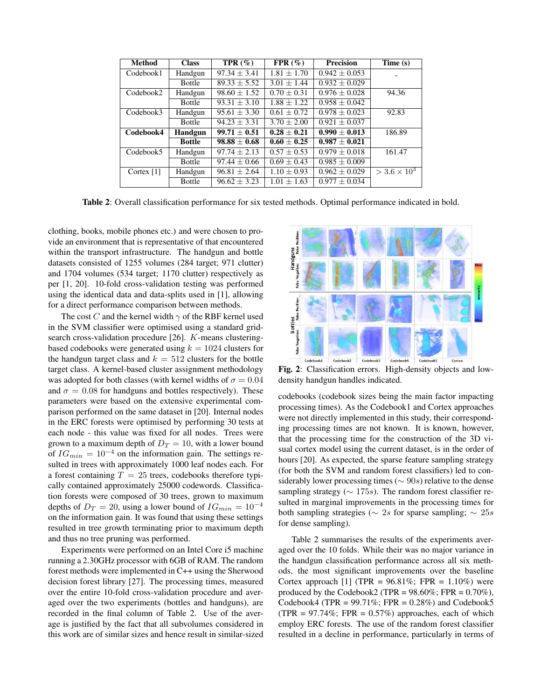| <b>Method</b> | <b>Class</b>  | $TPR(\%)$        | $FPR(\%)$       | <b>Precision</b>  | Time (s)                         |
|---------------|---------------|------------------|-----------------|-------------------|----------------------------------|
| Codebook1     | Handgun       | $97.34 + 3.41$   | $1.81 + 1.70$   | $0.942 + 0.053$   |                                  |
|               | <b>Bottle</b> | $89.33 \pm 5.52$ | $3.01 + 1.44$   | $0.932 + 0.029$   |                                  |
| Codebook2     | Handgun       | $98.60 \pm 1.52$ | $0.70 \pm 0.31$ | $0.976 \pm 0.028$ | 94.36                            |
|               | <b>Bottle</b> | $93.31 + 3.10$   | $1.88 + 1.22$   | $0.958 \pm 0.042$ |                                  |
| Codebook3     | Handgun       | $95.61 + 3.30$   | $0.61 + 0.72$   | $0.978 \pm 0.023$ | 92.83                            |
|               | <b>Bottle</b> | $94.23 + 3.31$   | $3.70 \pm 2.00$ | $0.921 \pm 0.037$ |                                  |
| Codebook4     | Handgun       | $99.71 + 0.51$   | $0.28 + 0.21$   | $0.990 + 0.013$   | 186.89                           |
|               | <b>Bottle</b> | $98.88 + 0.68$   | $0.60 + 0.25$   | $0.987 + 0.021$   |                                  |
| Codebook5     | Handgun       | $97.74 + 2.13$   | $0.57 \pm 0.53$ | $0.979 \pm 0.018$ | 161.47                           |
|               | Bottle        | $97.44 \pm 0.66$ | $0.69 \pm 0.43$ | $0.985 \pm 0.009$ |                                  |
| Cortex $[1]$  | Handgun       | $96.81 + 2.64$   | $1.10 + 0.93$   | $0.962 \pm 0.029$ | $>$ 3.6 $\times$ 10 <sup>3</sup> |
|               | <b>Bottle</b> | $96.62 \pm 3.23$ | $1.01 \pm 1.63$ | $0.977 \pm 0.034$ |                                  |

Table 2: Overall classification performance for six tested methods. Optimal performance indicated in bold.

clothing, books, mobile phones etc.) and were chosen to provide an environment that is representative of that encountered within the transport infrastructure. The handgun and bottle datasets consisted of 1255 volumes (284 target; 971 clutter) and 1704 volumes (534 target; 1170 clutter) respectively as per [1, 20]. 10-fold cross-validation testing was performed using the identical data and data-splits used in [1], allowing for a direct performance comparison between methods.

The cost C and the kernel width  $\gamma$  of the RBF kernel used in the SVM classifier were optimised using a standard gridsearch cross-validation procedure [26]. K-means clusteringbased codebooks were generated using  $k = 1024$  clusters for the handgun target class and  $k = 512$  clusters for the bottle target class. A kernel-based cluster assignment methodology was adopted for both classes (with kernel widths of  $\sigma = 0.04$ and  $\sigma = 0.08$  for handguns and bottles respectively). These parameters were based on the extensive experimental comparison performed on the same dataset in [20]. Internal nodes in the ERC forests were optimised by performing 30 tests at each node - this value was fixed for all nodes. Trees were grown to a maximum depth of  $D_T = 10$ , with a lower bound of  $IG_{min} = 10^{-4}$  on the information gain. The settings resulted in trees with approximately 1000 leaf nodes each. For a forest containing  $T = 25$  trees, codebooks therefore typically contained approximately 25000 codewords. Classification forests were composed of 30 trees, grown to maximum depths of  $D_T = 20$ , using a lower bound of  $IG_{min} = 10^{-4}$ on the information gain. It was found that using these settings resulted in tree growth terminating prior to maximum depth and thus no tree pruning was performed.

Experiments were performed on an Intel Core i5 machine running a 2.30GHz processor with 6GB of RAM. The random forest methods were implemented in C++ using the Sherwood decision forest library [27]. The processing times, measured over the entire 10-fold cross-validation procedure and averaged over the two experiments (bottles and handguns), are recorded in the final column of Table 2. Use of the average is justified by the fact that all subvolumes considered in this work are of similar sizes and hence result in similar-sized



Fig. 2: Classification errors. High-density objects and lowdensity handgun handles indicated.

codebooks (codebook sizes being the main factor impacting processing times). As the Codebook1 and Cortex approaches were not directly implemented in this study, their corresponding processing times are not known. It is known, however, that the processing time for the construction of the 3D visual cortex model using the current dataset, is in the order of hours [20]. As expected, the sparse feature sampling strategy (for both the SVM and random forest classifiers) led to considerably lower processing times ( $\sim$  90s) relative to the dense sampling strategy ( $\sim$  175s). The random forest classifier resulted in marginal improvements in the processing times for both sampling strategies ( $\sim 2s$  for sparse sampling;  $\sim 25s$ for dense sampling).

Table 2 summarises the results of the experiments averaged over the 10 folds. While their was no major variance in the handgun classification performance across all six methods, the most significant improvements over the baseline Cortex approach [1] (TPR =  $96.81\%$ ; FPR =  $1.10\%$ ) were produced by the Codebook2 (TPR =  $98.60\%$ ; FPR =  $0.70\%$ ), Codebook4 (TPR =  $99.71\%$ ; FPR =  $0.28\%$ ) and Codebook5 (TPR =  $97.74\%$ ; FPR =  $0.57\%$ ) approaches, each of which employ ERC forests. The use of the random forest classifier resulted in a decline in performance, particularly in terms of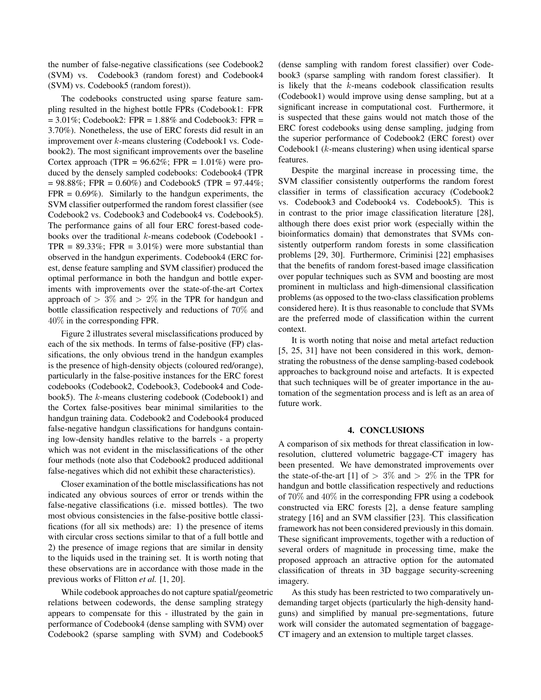the number of false-negative classifications (see Codebook2 (SVM) vs. Codebook3 (random forest) and Codebook4 (SVM) vs. Codebook5 (random forest)).

The codebooks constructed using sparse feature sampling resulted in the highest bottle FPRs (Codebook1: FPR  $= 3.01\%$ ; Codebook2: FPR  $= 1.88\%$  and Codebook3: FPR  $=$ 3.70%). Nonetheless, the use of ERC forests did result in an improvement over k-means clustering (Codebook1 vs. Codebook2). The most significant improvements over the baseline Cortex approach (TPR =  $96.62\%$ ; FPR =  $1.01\%$ ) were produced by the densely sampled codebooks: Codebook4 (TPR  $= 98.88\%$ ; FPR = 0.60%) and Codebook5 (TPR = 97.44%;  $FPR = 0.69\%$ . Similarly to the handgun experiments, the SVM classifier outperformed the random forest classifier (see Codebook2 vs. Codebook3 and Codebook4 vs. Codebook5). The performance gains of all four ERC forest-based codebooks over the traditional  $k$ -means codebook (Codebook1 -TPR =  $89.33\%$ ; FPR =  $3.01\%$ ) were more substantial than observed in the handgun experiments. Codebook4 (ERC forest, dense feature sampling and SVM classifier) produced the optimal performance in both the handgun and bottle experiments with improvements over the state-of-the-art Cortex approach of  $> 3\%$  and  $> 2\%$  in the TPR for handgun and bottle classification respectively and reductions of 70% and 40% in the corresponding FPR.

Figure 2 illustrates several misclassifications produced by each of the six methods. In terms of false-positive (FP) classifications, the only obvious trend in the handgun examples is the presence of high-density objects (coloured red/orange), particularly in the false-positive instances for the ERC forest codebooks (Codebook2, Codebook3, Codebook4 and Codebook5). The k-means clustering codebook (Codebook1) and the Cortex false-positives bear minimal similarities to the handgun training data. Codebook2 and Codebook4 produced false-negative handgun classifications for handguns containing low-density handles relative to the barrels - a property which was not evident in the misclassifications of the other four methods (note also that Codebook2 produced additional false-negatives which did not exhibit these characteristics).

Closer examination of the bottle misclassifications has not indicated any obvious sources of error or trends within the false-negative classifications (i.e. missed bottles). The two most obvious consistencies in the false-positive bottle classifications (for all six methods) are: 1) the presence of items with circular cross sections similar to that of a full bottle and 2) the presence of image regions that are similar in density to the liquids used in the training set. It is worth noting that these observations are in accordance with those made in the previous works of Flitton *et al.* [1, 20].

While codebook approaches do not capture spatial/geometric relations between codewords, the dense sampling strategy appears to compensate for this - illustrated by the gain in performance of Codebook4 (dense sampling with SVM) over Codebook2 (sparse sampling with SVM) and Codebook5

(dense sampling with random forest classifier) over Codebook3 (sparse sampling with random forest classifier). It is likely that the  $k$ -means codebook classification results (Codebook1) would improve using dense sampling, but at a significant increase in computational cost. Furthermore, it is suspected that these gains would not match those of the ERC forest codebooks using dense sampling, judging from the superior performance of Codebook2 (ERC forest) over Codebook1 (k-means clustering) when using identical sparse features.

Despite the marginal increase in processing time, the SVM classifier consistently outperforms the random forest classifier in terms of classification accuracy (Codebook2 vs. Codebook3 and Codebook4 vs. Codebook5). This is in contrast to the prior image classification literature [28], although there does exist prior work (especially within the bioinformatics domain) that demonstrates that SVMs consistently outperform random forests in some classification problems [29, 30]. Furthermore, Criminisi [22] emphasises that the benefits of random forest-based image classification over popular techniques such as SVM and boosting are most prominent in multiclass and high-dimensional classification problems (as opposed to the two-class classification problems considered here). It is thus reasonable to conclude that SVMs are the preferred mode of classification within the current context.

It is worth noting that noise and metal artefact reduction [5, 25, 31] have not been considered in this work, demonstrating the robustness of the dense sampling-based codebook approaches to background noise and artefacts. It is expected that such techniques will be of greater importance in the automation of the segmentation process and is left as an area of future work.

#### 4. CONCLUSIONS

A comparison of six methods for threat classification in lowresolution, cluttered volumetric baggage-CT imagery has been presented. We have demonstrated improvements over the state-of-the-art [1] of  $> 3\%$  and  $> 2\%$  in the TPR for handgun and bottle classification respectively and reductions of 70% and 40% in the corresponding FPR using a codebook constructed via ERC forests [2], a dense feature sampling strategy [16] and an SVM classifier [23]. This classification framework has not been considered previously in this domain. These significant improvements, together with a reduction of several orders of magnitude in processing time, make the proposed approach an attractive option for the automated classification of threats in 3D baggage security-screening imagery.

As this study has been restricted to two comparatively undemanding target objects (particularly the high-density handguns) and simplified by manual pre-segmentations, future work will consider the automated segmentation of baggage-CT imagery and an extension to multiple target classes.